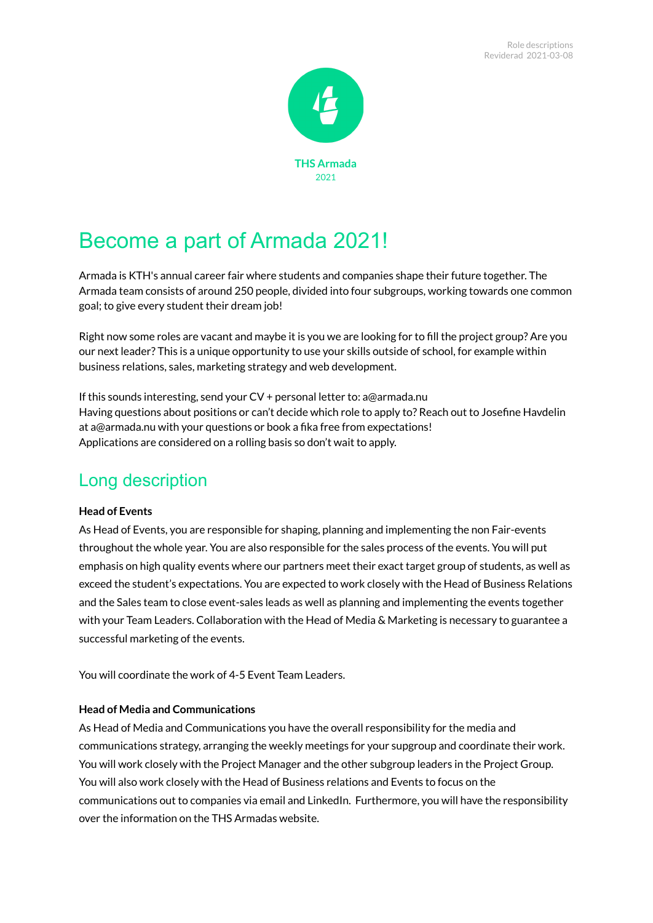

# Become a part of Armada 2021!

Armada is KTH's annual career fair where students and companies shape their future together. The Armada team consists of around 250 people, divided into four subgroups, working towards one common goal; to give every student their dream job!

Right now some roles are vacant and maybe it is you we are looking for to fill the project group? Are you our next leader? This is a unique opportunity to use your skills outside of school, for example within business relations, sales, marketing strategy and web development.

If this sounds interesting, send your CV + personal letter to: a@armada.nu Having questions about positions or can't decide which role to apply to? Reach out to Josefine Havdelin at a@armada.nu with your questions or book a fika free from expectations! Applications are considered on a rolling basis so don't wait to apply.

## Long description

#### **Head of Events**

As Head of Events, you are responsible for shaping, planning and implementing the non Fair-events throughout the whole year. You are also responsible for the sales process of the events. You will put emphasis on high quality events where our partners meet their exact target group of students, as well as exceed the student's expectations. You are expected to work closely with the Head of Business Relations and the Sales team to close event-sales leads as well as planning and implementing the events together with your Team Leaders. Collaboration with the Head of Media & Marketing is necessary to guarantee a successful marketing of the events.

You will coordinate the work of 4-5 Event Team Leaders.

#### **Head of Media and Communications**

As Head of Media and Communications you have the overall responsibility for the media and communications strategy, arranging the weekly meetings for your supgroup and coordinate their work. You will work closely with the Project Manager and the other subgroup leaders in the Project Group. You will also work closely with the Head of Business relations and Events to focus on the communications out to companies via email and LinkedIn. Furthermore, you will have the responsibility over the information on the THS Armadas website.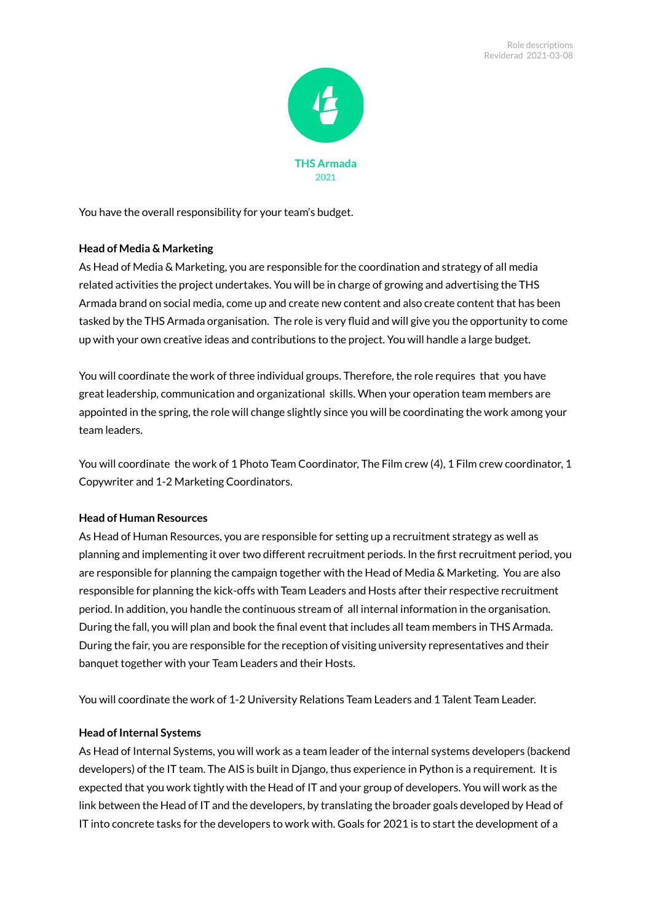

You have the overall responsibility for your team's budget.

### **Head of Media & Marketing**

As Head of Media & Marketing, you are responsible for the coordination and strategy of all media related activities the project undertakes. You will be in charge of growing and advertising the THS Armada brand on social media, come up and create new content and also create content that has been tasked by the THS Armada organisation. The role is very fluid and will give you the opportunity to come up with your own creative ideas and contributions to the project. You will handle a large budget.

You will coordinate the work of three individual groups. Therefore, the role requires that you have great leadership, communication and organizational skills. When your operation team members are appointed in the spring, the role will change slightly since you will be coordinating the work among your team leaders.

You will coordinate the work of 1 Photo Team Coordinator, The Film crew (4), 1 Film crew coordinator, 1 Copywriter and 1-2 Marketing Coordinators.

#### **Head of Human Resources**

As Head of Human Resources, you are responsible for setting up a recruitment strategy as well as planning and implementing it over two different recruitment periods. In the first recruitment period, you are responsible for planning the campaign together with the Head of Media & Marketing. You are also responsible for planning the kick-offs with Team Leaders and Hosts after their respective recruitment period. In addition, you handle the continuous stream of all internal information in the organisation. During the fall, you will plan and book the final event that includes all team members in THS Armada. During the fair, you are responsible for the reception of visiting university representatives and their banquet together with your Team Leaders and their Hosts.

You will coordinate the work of 1-2 University Relations Team Leaders and 1 Talent Team Leader.

#### **Head of Internal Systems**

As Head of Internal Systems, you will work as a team leader of the internal systems developers (backend developers) of the IT team. The AIS is built in Django, thus experience in Python is a requirement. It is expected that you work tightly with the Head of IT and your group of developers. You will work as the link between the Head of IT and the developers, by translating the broader goals developed by Head of IT into concrete tasks for the developers to work with. Goals for 2021 is to start the development of a